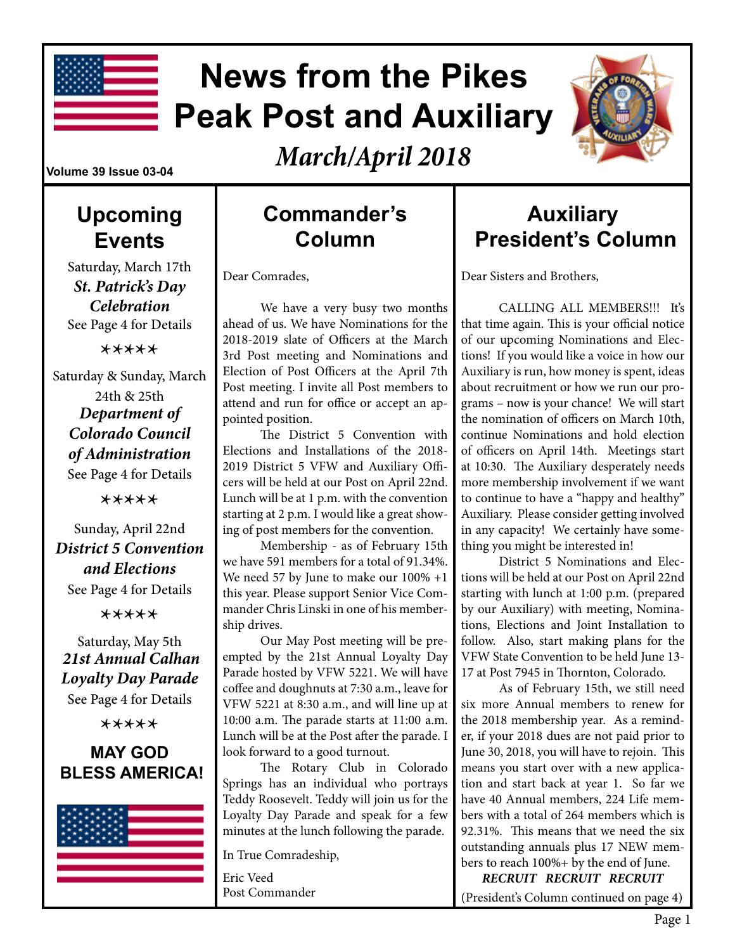

# **News from the Pikes Peak Post and Auxiliary**

*March/April 2018*

#### **Volume 39 Issue 03-04**

### **Upcoming Events**

Saturday, March 17th *St. Patrick's Day Celebration* See Page 4 for Details

\*\*\*\*\*

Saturday & Sunday, March 24th & 25th *Department of Colorado Council of Administration* See Page 4 for Details

\*\*\*\*\*

#### Sunday, April 22nd *District 5 Convention and Elections*

See Page 4 for Details

\*\*\*\*\*

Saturday, May 5th *21st Annual Calhan Loyalty Day Parade*  See Page 4 for Details

\*\*\*\*\*

#### **MAY GOD BLESS AMERICA!**



### **Commander's Column**

Dear Comrades,

We have a very busy two months ahead of us. We have Nominations for the 2018-2019 slate of Officers at the March 3rd Post meeting and Nominations and Election of Post Officers at the April 7th Post meeting. I invite all Post members to attend and run for office or accept an appointed position.

The District 5 Convention with Elections and Installations of the 2018- 2019 District 5 VFW and Auxiliary Officers will be held at our Post on April 22nd. Lunch will be at 1 p.m. with the convention starting at 2 p.m. I would like a great showing of post members for the convention.

Membership - as of February 15th we have 591 members for a total of 91.34%. We need 57 by June to make our 100% +1 this year. Please support Senior Vice Commander Chris Linski in one of his membership drives.

Our May Post meeting will be preempted by the 21st Annual Loyalty Day Parade hosted by VFW 5221. We will have coffee and doughnuts at 7:30 a.m., leave for VFW 5221 at 8:30 a.m., and will line up at 10:00 a.m. The parade starts at 11:00 a.m. Lunch will be at the Post after the parade. I look forward to a good turnout.

The Rotary Club in Colorado Springs has an individual who portrays Teddy Roosevelt. Teddy will join us for the Loyalty Day Parade and speak for a few minutes at the lunch following the parade.

In True Comradeship,

Eric Veed Post Commander

### **Auxiliary President's Column**

Dear Sisters and Brothers,

CALLING ALL MEMBERS!!! It's that time again. This is your official notice of our upcoming Nominations and Elections! If you would like a voice in how our Auxiliary is run, how money is spent, ideas about recruitment or how we run our programs – now is your chance! We will start the nomination of officers on March 10th, continue Nominations and hold election of officers on April 14th. Meetings start at 10:30. The Auxiliary desperately needs more membership involvement if we want to continue to have a "happy and healthy" Auxiliary. Please consider getting involved in any capacity! We certainly have something you might be interested in!

District 5 Nominations and Elections will be held at our Post on April 22nd starting with lunch at 1:00 p.m. (prepared by our Auxiliary) with meeting, Nominations, Elections and Joint Installation to follow. Also, start making plans for the VFW State Convention to be held June 13- 17 at Post 7945 in Thornton, Colorado.

As of February 15th, we still need six more Annual members to renew for the 2018 membership year. As a reminder, if your 2018 dues are not paid prior to June 30, 2018, you will have to rejoin. This means you start over with a new application and start back at year 1. So far we have 40 Annual members, 224 Life members with a total of 264 members which is 92.31%. This means that we need the six outstanding annuals plus 17 NEW members to reach 100%+ by the end of June.

 *RECRUIT RECRUIT RECRUIT* (President's Column continued on page 4)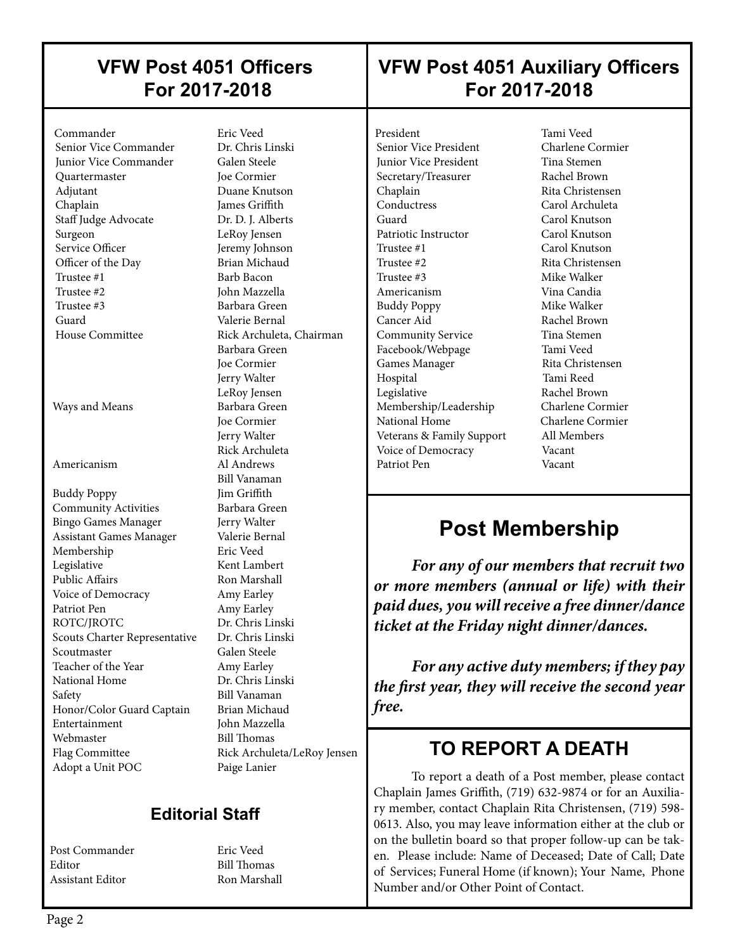### **VFW Post 4051 Officers For 2017-2018**

### **VFW Post 4051 Auxiliary Officers For 2017-2018**

 Commander Eric Veed Senior Vice Commander Junior Vice Commander Galen Steele Quartermaster Joe Cormier Adjutant Duane Knutson Chaplain James Griffith Staff Judge Advocate Dr. D. J. Alberts Surgeon LeRoy Jensen Service Officer **Jeremy Johnson** Officer of the Day Brian Michaud<br>Trustee #1 Barb Bacon Trustee #2 John Mazzella Trustee #3 Barbara Green Guard Valerie Bernal

 $\overline{\phantom{a}}$ 

Ways and Means Barbara Green

 Buddy Poppy Jim Griffith Community Activities Barbara Green Bingo Games Manager Jerry Walter Assistant Games Manager Valerie Bernal Membership Legislative Kent Lambert Public Affairs Ron Marshall Voice of Democracy Amy Earley Patriot Pen Amy Earley ROTC/IROTC Dr. Chris Linski Scouts Charter Representative Dr. Chris Linski Scoutmaster Galen Steele Teacher of the Year **Amy Earley**<br>
National Home **Dr. Chris Linski** National Home Safety Bill Vanaman<br>Honor/Color Guard Captain Brian Michaud Honor/Color Guard Captain Entertainment John Mazzella Webmaster Bill Thomas Flag Committee Rick Archuleta/LeRoy Jensen Adopt a Unit POC Paige Lanier

Barb Bacon House Committee Rick Archuleta, Chairman Barbara Green Joe Cormier Jerry Walter LeRoy Jensen Joe Cormier Jerry Walter Rick Archuleta Americanism Al Andrews Bill Vanaman

### **Editorial Staff**

Post Commander Fric Veed Editor Bill Thomas Assistant Editor Ron Marshall

President Tami Veed<br>
Senior Vice President Charlene Cormier Senior Vice President **Junior Vice President Tina Stemen** Secretary/Treasurer Rachel Brown Chaplain Rita Christensen<br>
Carol Archuleta<br>
Carol Archuleta Guard Carol Knutson Patriotic Instructor Carol Knutson Trustee #1 Carol Knutson Trustee #2 Rita Christensen Trustee #3 Mike Walker Americanism Vina Candia Buddy Poppy Mike Walker Cancer Aid Rachel Brown Community Service Tina Stemen Facebook/Webpage Tami Veed Games Manager Rita Christensen Hospital Tami Reed Legislative Rachel Brown Membership/Leadership Charlene Cormier National Home Charlene Cormier Veterans & Family Support All Members Voice of Democracy Vacant Patriot Pen Vacant

 $\overline{\phantom{a}}$ 

 $\overline{\phantom{a}}$ 

Carol Archuleta

### **Post Membership**

*For any of our members that recruit two or more members (annual or life) with their paid dues, you will receive a free dinner/dance ticket at the Friday night dinner/dances.*

*For any active duty members; if they pay the first year, they will receive the second year free.*

### **TO REPORT A DEATH**

To report a death of a Post member, please contact Chaplain James Griffith, (719) 632-9874 or for an Auxiliary member, contact Chaplain Rita Christensen, (719) 598- 0613. Also, you may leave information either at the club or on the bulletin board so that proper follow-up can be taken. Please include: Name of Deceased; Date of Call; Date of Services; Funeral Home (if known); Your Name, Phone Number and/or Other Point of Contact.

 $\overline{\phantom{a}}$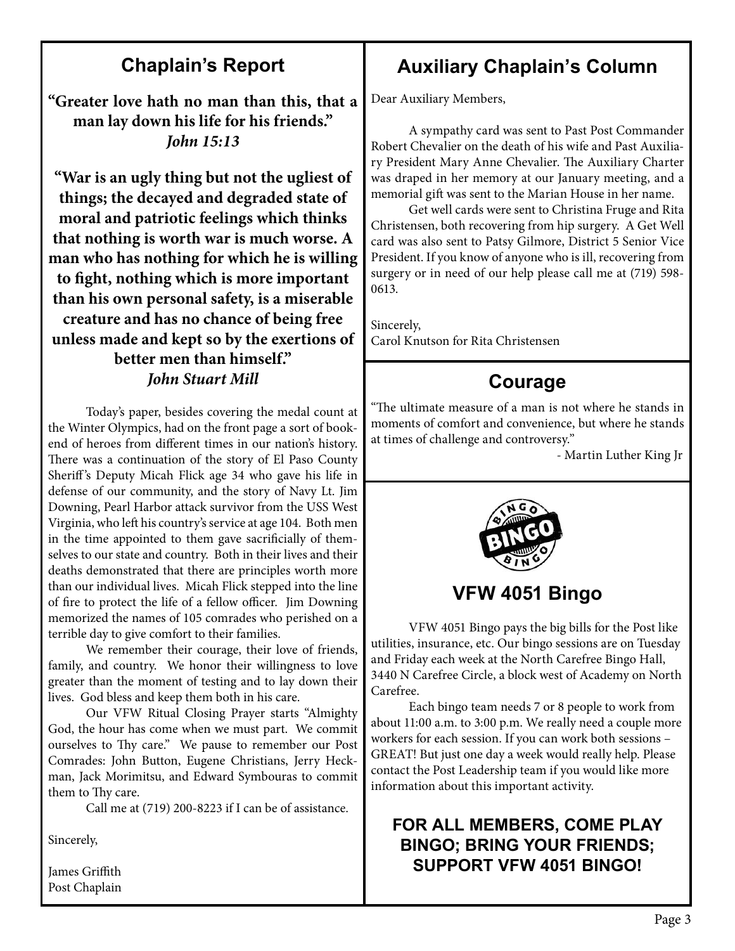### **Chaplain's Report**

**"Greater love hath no man than this, that a man lay down his life for his friends."**  *John 15:13*

**"War is an ugly thing but not the ugliest of things; the decayed and degraded state of moral and patriotic feelings which thinks that nothing is worth war is much worse. A man who has nothing for which he is willing to fight, nothing which is more important than his own personal safety, is a miserable creature and has no chance of being free unless made and kept so by the exertions of better men than himself."**  *John Stuart Mill*

Today's paper, besides covering the medal count at the Winter Olympics, had on the front page a sort of bookend of heroes from different times in our nation's history. There was a continuation of the story of El Paso County Sheriff 's Deputy Micah Flick age 34 who gave his life in defense of our community, and the story of Navy Lt. Jim Downing, Pearl Harbor attack survivor from the USS West Virginia, who left his country's service at age 104. Both men in the time appointed to them gave sacrificially of themselves to our state and country. Both in their lives and their deaths demonstrated that there are principles worth more than our individual lives. Micah Flick stepped into the line of fire to protect the life of a fellow officer. Jim Downing memorized the names of 105 comrades who perished on a terrible day to give comfort to their families.

We remember their courage, their love of friends, family, and country. We honor their willingness to love greater than the moment of testing and to lay down their lives. God bless and keep them both in his care.

Our VFW Ritual Closing Prayer starts "Almighty God, the hour has come when we must part. We commit ourselves to Thy care." We pause to remember our Post Comrades: John Button, Eugene Christians, Jerry Heckman, Jack Morimitsu, and Edward Symbouras to commit them to Thy care.

Call me at (719) 200-8223 if I can be of assistance.

Sincerely,

James Griffith Post Chaplain

### **Auxiliary Chaplain's Column**

Dear Auxiliary Members,

A sympathy card was sent to Past Post Commander Robert Chevalier on the death of his wife and Past Auxiliary President Mary Anne Chevalier. The Auxiliary Charter was draped in her memory at our January meeting, and a memorial gift was sent to the Marian House in her name.

Get well cards were sent to Christina Fruge and Rita Christensen, both recovering from hip surgery. A Get Well card was also sent to Patsy Gilmore, District 5 Senior Vice President. If you know of anyone who is ill, recovering from surgery or in need of our help please call me at (719) 598- 0613.

Sincerely, Carol Knutson for Rita Christensen

### **Courage**

"The ultimate measure of a man is not where he stands in moments of comfort and convenience, but where he stands at times of challenge and controversy."

- Martin Luther King Jr



**VFW 4051 Bingo**

VFW 4051 Bingo pays the big bills for the Post like utilities, insurance, etc. Our bingo sessions are on Tuesday and Friday each week at the North Carefree Bingo Hall, 3440 N Carefree Circle, a block west of Academy on North Carefree.

Each bingo team needs 7 or 8 people to work from about 11:00 a.m. to 3:00 p.m. We really need a couple more workers for each session. If you can work both sessions – GREAT! But just one day a week would really help. Please contact the Post Leadership team if you would like more information about this important activity.

#### **FOR ALL MEMBERS, COME PLAY BINGO; BRING YOUR FRIENDS; SUPPORT VFW 4051 BINGO!**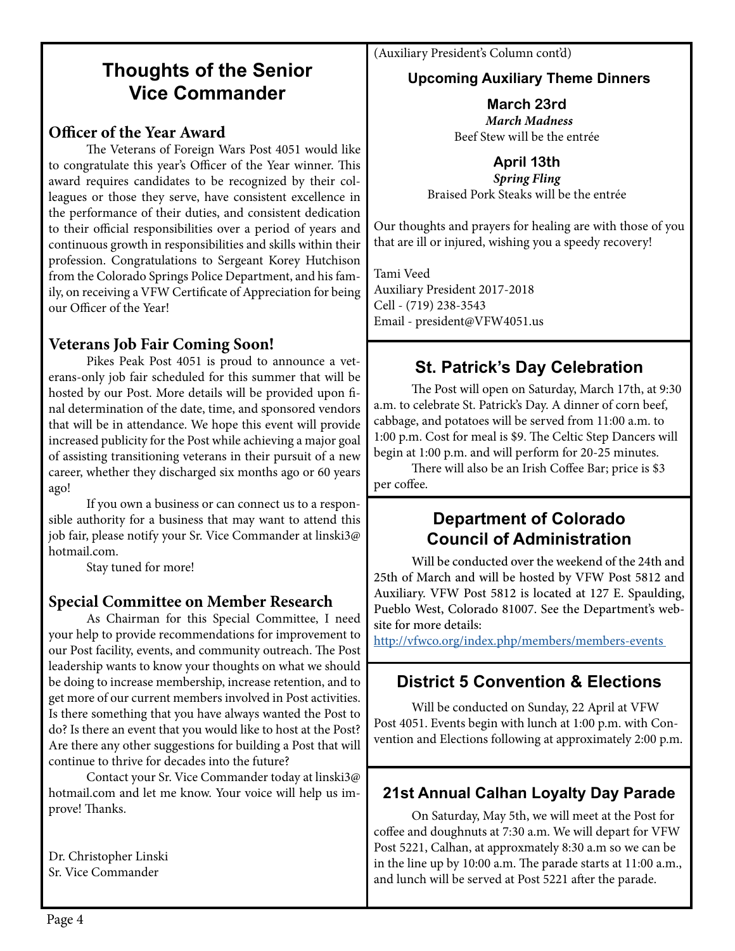### **Thoughts of the Senior Vice Commander**

#### **Officer of the Year Award**

The Veterans of Foreign Wars Post 4051 would like to congratulate this year's Officer of the Year winner. This award requires candidates to be recognized by their colleagues or those they serve, have consistent excellence in the performance of their duties, and consistent dedication to their official responsibilities over a period of years and continuous growth in responsibilities and skills within their profession. Congratulations to Sergeant Korey Hutchison from the Colorado Springs Police Department, and his family, on receiving a VFW Certificate of Appreciation for being our Officer of the Year!

#### **Veterans Job Fair Coming Soon!**

Pikes Peak Post 4051 is proud to announce a veterans-only job fair scheduled for this summer that will be hosted by our Post. More details will be provided upon final determination of the date, time, and sponsored vendors that will be in attendance. We hope this event will provide increased publicity for the Post while achieving a major goal of assisting transitioning veterans in their pursuit of a new career, whether they discharged six months ago or 60 years ago!

If you own a business or can connect us to a responsible authority for a business that may want to attend this job fair, please notify your Sr. Vice Commander at linski3@ hotmail.com.

Stay tuned for more!

#### **Special Committee on Member Research**

As Chairman for this Special Committee, I need your help to provide recommendations for improvement to our Post facility, events, and community outreach. The Post leadership wants to know your thoughts on what we should be doing to increase membership, increase retention, and to get more of our current members involved in Post activities. Is there something that you have always wanted the Post to do? Is there an event that you would like to host at the Post? Are there any other suggestions for building a Post that will continue to thrive for decades into the future?

Contact your Sr. Vice Commander today at linski3@ hotmail.com and let me know. Your voice will help us improve! Thanks.

Dr. Christopher Linski Sr. Vice Commander

(Auxiliary President's Column cont'd)

#### **Upcoming Auxiliary Theme Dinners**

**March 23rd** *March Madness*  Beef Stew will be the entrée

**April 13th**

*Spring Fling*  Braised Pork Steaks will be the entrée

Our thoughts and prayers for healing are with those of you that are ill or injured, wishing you a speedy recovery!

Tami Veed Auxiliary President 2017-2018 Cell - (719) 238-3543 Email - president@VFW4051.us

### **St. Patrick's Day Celebration**

The Post will open on Saturday, March 17th, at 9:30 a.m. to celebrate St. Patrick's Day. A dinner of corn beef, cabbage, and potatoes will be served from 11:00 a.m. to 1:00 p.m. Cost for meal is \$9. The Celtic Step Dancers will begin at 1:00 p.m. and will perform for 20-25 minutes.

There will also be an Irish Coffee Bar; price is \$3 per coffee.

#### **Department of Colorado Council of Administration**

Will be conducted over the weekend of the 24th and 25th of March and will be hosted by VFW Post 5812 and Auxiliary. VFW Post 5812 is located at 127 E. Spaulding, Pueblo West, Colorado 81007. See the Department's website for more details:

http://vfwco.org/index.php/members/members-events

### **District 5 Convention & Elections**

Will be conducted on Sunday, 22 April at VFW Post 4051. Events begin with lunch at 1:00 p.m. with Convention and Elections following at approximately 2:00 p.m.

#### **21st Annual Calhan Loyalty Day Parade**

On Saturday, May 5th, we will meet at the Post for coffee and doughnuts at 7:30 a.m. We will depart for VFW Post 5221, Calhan, at approxmately 8:30 a.m so we can be in the line up by 10:00 a.m. The parade starts at 11:00 a.m., and lunch will be served at Post 5221 after the parade.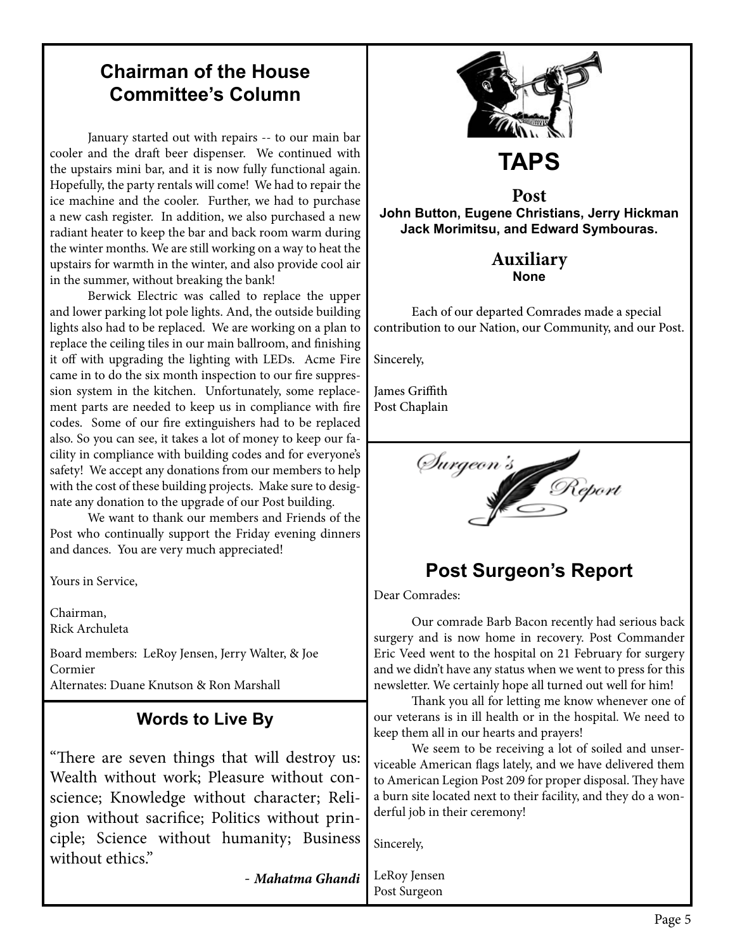### **Chairman of the House Committee's Column**

January started out with repairs -- to our main bar cooler and the draft beer dispenser. We continued with the upstairs mini bar, and it is now fully functional again. Hopefully, the party rentals will come! We had to repair the ice machine and the cooler. Further, we had to purchase a new cash register. In addition, we also purchased a new radiant heater to keep the bar and back room warm during the winter months. We are still working on a way to heat the upstairs for warmth in the winter, and also provide cool air in the summer, without breaking the bank!

Berwick Electric was called to replace the upper and lower parking lot pole lights. And, the outside building lights also had to be replaced. We are working on a plan to replace the ceiling tiles in our main ballroom, and finishing it off with upgrading the lighting with LEDs. Acme Fire came in to do the six month inspection to our fire suppression system in the kitchen. Unfortunately, some replacement parts are needed to keep us in compliance with fire codes. Some of our fire extinguishers had to be replaced also. So you can see, it takes a lot of money to keep our facility in compliance with building codes and for everyone's safety! We accept any donations from our members to help with the cost of these building projects. Make sure to designate any donation to the upgrade of our Post building.

We want to thank our members and Friends of the Post who continually support the Friday evening dinners and dances. You are very much appreciated!

Yours in Service,

Chairman, Rick Archuleta

Board members: LeRoy Jensen, Jerry Walter, & Joe Cormier Alternates: Duane Knutson & Ron Marshall

### **Words to Live By**

"There are seven things that will destroy us: Wealth without work; Pleasure without conscience; Knowledge without character; Religion without sacrifice; Politics without principle; Science without humanity; Business without ethics."

- *Mahatma Ghandi*



### **Post John Button, Eugene Christians, Jerry Hickman**

**Jack Morimitsu, and Edward Symbouras.**

#### **Auxiliary None**

Each of our departed Comrades made a special contribution to our Nation, our Community, and our Post.

Sincerely,

James Griffith Post Chaplain



### **Post Surgeon's Report**

Dear Comrades:

Our comrade Barb Bacon recently had serious back surgery and is now home in recovery. Post Commander Eric Veed went to the hospital on 21 February for surgery and we didn't have any status when we went to press for this newsletter. We certainly hope all turned out well for him!

Thank you all for letting me know whenever one of our veterans is in ill health or in the hospital. We need to keep them all in our hearts and prayers!

We seem to be receiving a lot of soiled and unserviceable American flags lately, and we have delivered them to American Legion Post 209 for proper disposal. They have a burn site located next to their facility, and they do a wonderful job in their ceremony!

Sincerely,

LeRoy Jensen Post Surgeon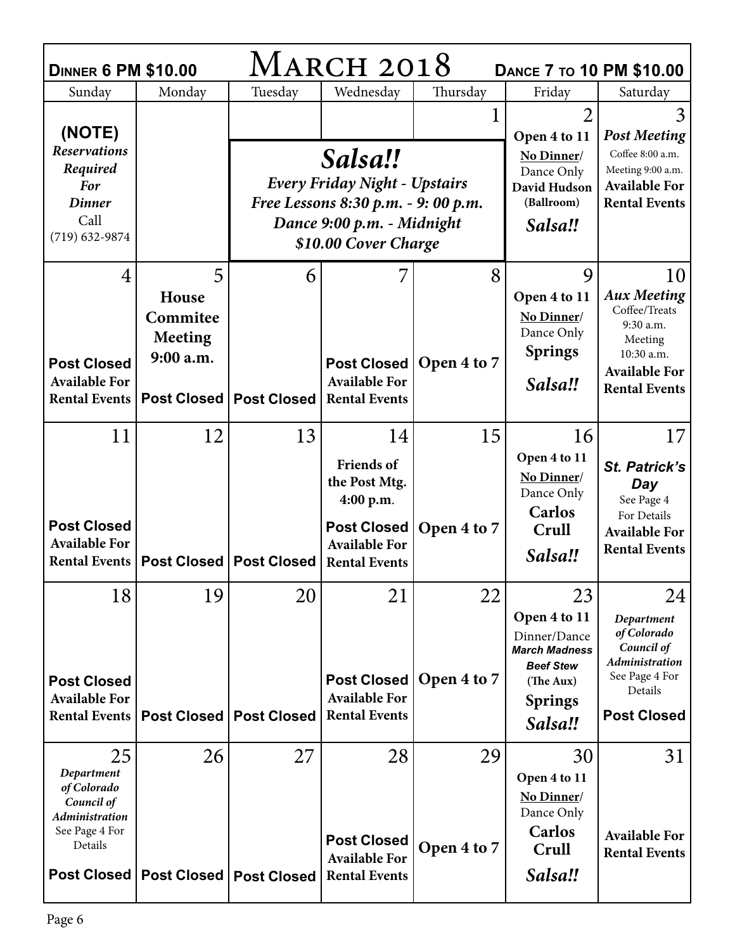| MARCH 2018<br><b>DINNER 6 PM \$10.00</b><br><b>DANCE 7 TO 10 PM \$10.00</b>                                  |                            |                                  |                                                                    |             |                                                                                                                    |                                                                                                              |  |  |  |  |
|--------------------------------------------------------------------------------------------------------------|----------------------------|----------------------------------|--------------------------------------------------------------------|-------------|--------------------------------------------------------------------------------------------------------------------|--------------------------------------------------------------------------------------------------------------|--|--|--|--|
| Sunday                                                                                                       | Monday                     | Tuesday                          | Wednesday                                                          | Thursday    | Friday                                                                                                             | Saturday                                                                                                     |  |  |  |  |
| (NOTE)<br><b>Reservations</b>                                                                                |                            |                                  | Salsa!!                                                            |             | $\overline{2}$<br>Open 4 to 11<br>No Dinner/                                                                       | 3<br><b>Post Meeting</b><br>Coffee 8:00 a.m.                                                                 |  |  |  |  |
| Required<br><b>For</b>                                                                                       |                            | Every Friday Night - Upstairs    |                                                                    |             | Dance Only<br>David Hudson                                                                                         | Meeting 9:00 a.m.<br><b>Available For</b>                                                                    |  |  |  |  |
| <b>Dinner</b>                                                                                                |                            |                                  | Free Lessons 8:30 p.m. - 9: 00 p.m.                                | (Ballroom)  | <b>Rental Events</b>                                                                                               |                                                                                                              |  |  |  |  |
| Call                                                                                                         |                            |                                  | Dance 9:00 p.m. - Midnight                                         | Salsa!!     |                                                                                                                    |                                                                                                              |  |  |  |  |
| $(719)$ 632-9874                                                                                             |                            |                                  | \$10.00 Cover Charge                                               |             |                                                                                                                    |                                                                                                              |  |  |  |  |
| 4                                                                                                            | 5                          | 6                                |                                                                    | 8           | 9                                                                                                                  | 10                                                                                                           |  |  |  |  |
|                                                                                                              | House                      |                                  |                                                                    |             | Open 4 to 11                                                                                                       | <b>Aux Meeting</b><br>Coffee/Treats                                                                          |  |  |  |  |
|                                                                                                              | Commitee<br><b>Meeting</b> |                                  |                                                                    |             | No Dinner/<br>Dance Only                                                                                           | 9:30 a.m.<br>Meeting                                                                                         |  |  |  |  |
| <b>Post Closed</b>                                                                                           | 9:00 a.m.                  |                                  | Post Closed                                                        | Open 4 to 7 | <b>Springs</b>                                                                                                     | 10:30 a.m.                                                                                                   |  |  |  |  |
| <b>Available For</b>                                                                                         |                            |                                  | <b>Available For</b>                                               |             | Salsa!!                                                                                                            | <b>Available For</b><br><b>Rental Events</b>                                                                 |  |  |  |  |
| <b>Rental Events</b>                                                                                         |                            | <b>Post Closed   Post Closed</b> | <b>Rental Events</b>                                               |             |                                                                                                                    |                                                                                                              |  |  |  |  |
| 11                                                                                                           | 12                         | 13                               | 14                                                                 | 15          | 16                                                                                                                 | 17                                                                                                           |  |  |  |  |
|                                                                                                              |                            |                                  | <b>Friends of</b><br>the Post Mtg.<br>4:00 p.m.                    |             | Open 4 to 11<br>No Dinner/<br>Dance Only<br>Carlos                                                                 | St. Patrick's<br>Day<br>See Page 4<br>For Details                                                            |  |  |  |  |
| <b>Post Closed</b><br><b>Available For</b>                                                                   |                            |                                  | <b>Post Closed</b><br><b>Available For</b>                         | Open 4 to 7 | Crull                                                                                                              | <b>Available For</b>                                                                                         |  |  |  |  |
| <b>Rental Events</b>                                                                                         |                            | <b>Post Closed   Post Closed</b> | <b>Rental Events</b>                                               |             | Salsa!!                                                                                                            | <b>Rental Events</b>                                                                                         |  |  |  |  |
| 18                                                                                                           | 19                         | 20                               | 21                                                                 | 22          | 23                                                                                                                 | 24                                                                                                           |  |  |  |  |
| <b>Post Closed</b><br><b>Available For</b><br><b>Rental Events</b>                                           |                            | Post Closed   Post Closed        | Post Closed<br><b>Available For</b><br><b>Rental Events</b>        | Open 4 to 7 | Open 4 to 11<br>Dinner/Dance<br><b>March Madness</b><br><b>Beef Stew</b><br>(The Aux)<br><b>Springs</b><br>Salsa!! | Department<br>of Colorado<br>Council of<br>Administration<br>See Page 4 For<br>Details<br><b>Post Closed</b> |  |  |  |  |
| 25                                                                                                           | 26                         | 27                               | 28                                                                 | 29          | 30                                                                                                                 | 31                                                                                                           |  |  |  |  |
| Department<br>of Colorado<br>Council of<br>Administration<br>See Page 4 For<br>Details<br><b>Post Closed</b> | <b>Post Closed</b>         | <b>Post Closed</b>               | <b>Post Closed</b><br><b>Available For</b><br><b>Rental Events</b> | Open 4 to 7 | Open 4 to 11<br>No Dinner/<br>Dance Only<br>Carlos<br>Crull<br>Salsa!!                                             | <b>Available For</b><br><b>Rental Events</b>                                                                 |  |  |  |  |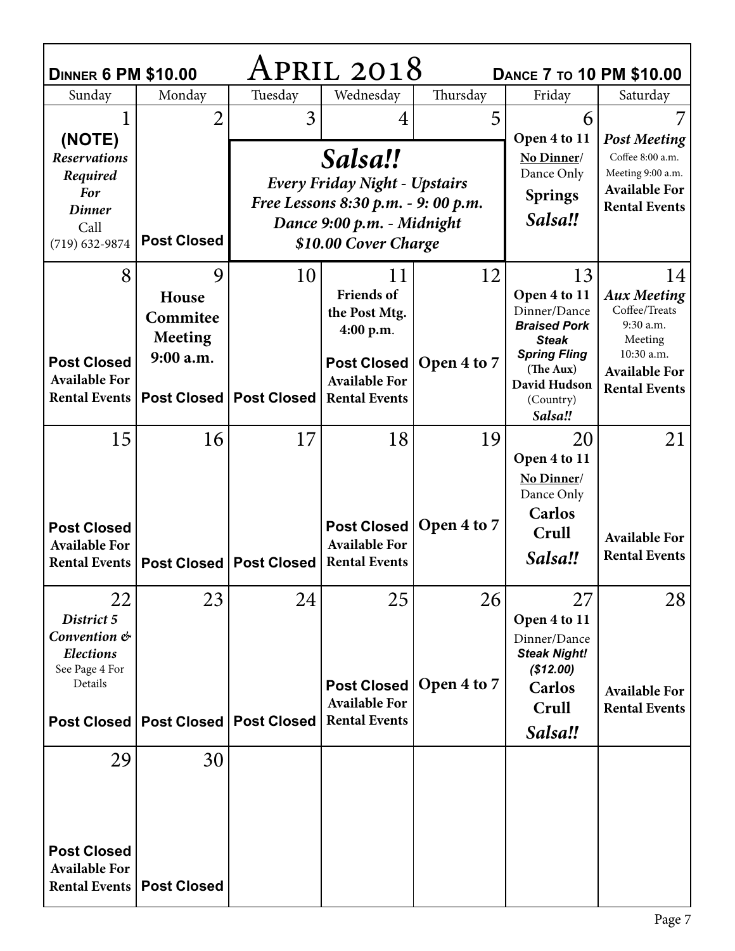| April 2018<br><b>DINNER 6 PM \$10.00</b><br><b>DANCE 7 TO 10 PM \$10.00</b> |                                         |                                  |                                                 |                          |                                                               |                                     |  |  |  |  |
|-----------------------------------------------------------------------------|-----------------------------------------|----------------------------------|-------------------------------------------------|--------------------------|---------------------------------------------------------------|-------------------------------------|--|--|--|--|
| Sunday                                                                      | Monday                                  | Tuesday                          | Wednesday                                       | Thursday                 | Friday                                                        | Saturday                            |  |  |  |  |
| (NOTE)                                                                      | $\overline{2}$                          | 3                                |                                                 | 5                        | 6<br>Open 4 to 11                                             | <b>Post Meeting</b>                 |  |  |  |  |
| <b>Reservations</b><br>Required<br>For                                      |                                         |                                  | Salsa!!<br><b>Every Friday Night - Upstairs</b> | No Dinner/<br>Dance Only | Coffee 8:00 a.m.<br>Meeting 9:00 a.m.<br><b>Available For</b> |                                     |  |  |  |  |
| <b>Dinner</b>                                                               |                                         |                                  | Free Lessons 8:30 p.m. - 9: 00 p.m.             | <b>Springs</b>           | <b>Rental Events</b>                                          |                                     |  |  |  |  |
| Call                                                                        |                                         |                                  | Dance 9:00 p.m. - Midnight                      | Salsa!!                  |                                                               |                                     |  |  |  |  |
| $(719) 632 - 9874$                                                          | <b>Post Closed</b>                      |                                  | \$10.00 Cover Charge                            |                          |                                                               |                                     |  |  |  |  |
| 8                                                                           | 9                                       | 10                               | 11                                              | 12                       | 13                                                            | 14                                  |  |  |  |  |
|                                                                             | House                                   |                                  | <b>Friends</b> of                               |                          | Open 4 to 11                                                  | <b>Aux Meeting</b><br>Coffee/Treats |  |  |  |  |
|                                                                             | Commitee                                |                                  | the Post Mtg.<br>4:00 p.m.                      |                          | Dinner/Dance<br><b>Braised Pork</b>                           | 9:30 a.m.                           |  |  |  |  |
|                                                                             | <b>Meeting</b>                          |                                  |                                                 |                          | <b>Steak</b><br><b>Spring Fling</b>                           | Meeting<br>10:30 a.m.               |  |  |  |  |
| <b>Post Closed</b>                                                          | 9:00 a.m.                               |                                  | <b>Post Closed</b>                              | Open 4 to 7              | (The Aux)                                                     | <b>Available For</b>                |  |  |  |  |
| <b>Available For</b><br><b>Rental Events</b>                                |                                         | Post Closed   Post Closed        | <b>Available For</b><br><b>Rental Events</b>    |                          | David Hudson<br>(Country)                                     | <b>Rental Events</b>                |  |  |  |  |
|                                                                             |                                         |                                  |                                                 |                          | Salsa!!                                                       |                                     |  |  |  |  |
| 15                                                                          | 16                                      | 17                               | 18                                              | 19                       | 20                                                            | 21                                  |  |  |  |  |
|                                                                             |                                         |                                  |                                                 |                          | Open 4 to 11                                                  |                                     |  |  |  |  |
|                                                                             |                                         |                                  |                                                 |                          | No Dinner/<br>Dance Only                                      |                                     |  |  |  |  |
| <b>Post Closed</b>                                                          |                                         |                                  | <b>Post Closed</b>                              | Open 4 to 7              | Carlos                                                        |                                     |  |  |  |  |
| <b>Available For</b>                                                        |                                         |                                  | <b>Available For</b>                            |                          | Crull                                                         | <b>Available For</b>                |  |  |  |  |
| Rental Events                                                               |                                         | <b>Post Closed   Post Closed</b> | <b>Rental Events</b>                            |                          | Salsa!!                                                       | <b>Rental Events</b>                |  |  |  |  |
| 22                                                                          | 23                                      | 24                               | 25                                              | 26                       | 27                                                            | 28                                  |  |  |  |  |
| District 5<br>Convention &                                                  |                                         |                                  |                                                 |                          | Open 4 to 11                                                  |                                     |  |  |  |  |
| <b>Elections</b><br>See Page 4 For                                          |                                         |                                  |                                                 |                          | Dinner/Dance<br><b>Steak Night!</b><br>(\$12.00)              |                                     |  |  |  |  |
| Details                                                                     |                                         |                                  | Post Closed                                     | Open 4 to 7              | Carlos                                                        | <b>Available For</b>                |  |  |  |  |
|                                                                             |                                         |                                  | <b>Available For</b><br><b>Rental Events</b>    |                          | Crull                                                         | <b>Rental Events</b>                |  |  |  |  |
|                                                                             | Post Closed   Post Closed   Post Closed |                                  |                                                 |                          | Salsa!!                                                       |                                     |  |  |  |  |
| 29                                                                          | 30                                      |                                  |                                                 |                          |                                                               |                                     |  |  |  |  |
|                                                                             |                                         |                                  |                                                 |                          |                                                               |                                     |  |  |  |  |
|                                                                             |                                         |                                  |                                                 |                          |                                                               |                                     |  |  |  |  |
| <b>Post Closed</b><br><b>Available For</b>                                  |                                         |                                  |                                                 |                          |                                                               |                                     |  |  |  |  |
|                                                                             | <b>Rental Events   Post Closed</b>      |                                  |                                                 |                          |                                                               |                                     |  |  |  |  |